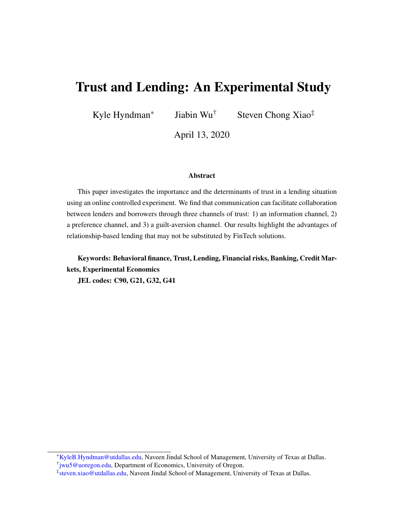# Trust and Lending: An Experimental Study

Kyle Hyndman\* Jiabin Wu<sup>†</sup> Steven Chong Xiao<sup>‡</sup>

April 13, 2020

#### Abstract

This paper investigates the importance and the determinants of trust in a lending situation using an online controlled experiment. We find that communication can facilitate collaboration between lenders and borrowers through three channels of trust: 1) an information channel, 2) a preference channel, and 3) a guilt-aversion channel. Our results highlight the advantages of relationship-based lending that may not be substituted by FinTech solutions.

Keywords: Behavioral finance, Trust, Lending, Financial risks, Banking, Credit Markets, Experimental Economics

JEL codes: C90, G21, G32, G41

<sup>\*</sup>[KyleB.Hyndman@utdallas.edu,](KyleB.Hyndman@utdallas.edu) Naveen Jindal School of Management, University of Texas at Dallas.

<sup>†</sup> [jwu5@uoregon.edu,](jwu5@uoregon.edu) Department of Economics, University of Oregon.

<sup>‡</sup> [steven.xiao@utdallas.edu,](steven.xiao@utdallas.edu) Naveen Jindal School of Management, University of Texas at Dallas.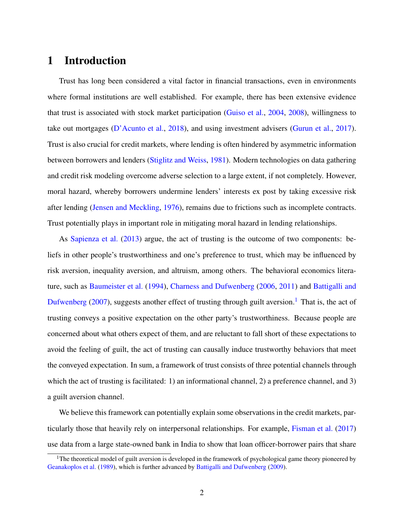# 1 Introduction

Trust has long been considered a vital factor in financial transactions, even in environments where formal institutions are well established. For example, there has been extensive evidence that trust is associated with stock market participation [\(Guiso et al.,](#page-24-0) [2004,](#page-24-0) [2008\)](#page-24-1), willingness to take out mortgages [\(D'Acunto et al.,](#page-22-0) [2018\)](#page-22-0), and using investment advisers [\(Gurun et al.,](#page-24-2) [2017\)](#page-24-2). Trust is also crucial for credit markets, where lending is often hindered by asymmetric information between borrowers and lenders [\(Stiglitz and Weiss,](#page-26-0) [1981\)](#page-26-0). Modern technologies on data gathering and credit risk modeling overcome adverse selection to a large extent, if not completely. However, moral hazard, whereby borrowers undermine lenders' interests ex post by taking excessive risk after lending [\(Jensen and Meckling,](#page-25-0) [1976\)](#page-25-0), remains due to frictions such as incomplete contracts. Trust potentially plays in important role in mitigating moral hazard in lending relationships.

As [Sapienza et al.](#page-26-1) [\(2013\)](#page-26-1) argue, the act of trusting is the outcome of two components: beliefs in other people's trustworthiness and one's preference to trust, which may be influenced by risk aversion, inequality aversion, and altruism, among others. The behavioral economics literature, such as [Baumeister et al.](#page-19-0) [\(1994\)](#page-19-0), [Charness and Dufwenberg](#page-21-0) [\(2006,](#page-21-0) [2011\)](#page-21-1) and [Battigalli and](#page-19-1) [Dufwenberg](#page-19-1) [\(2007\)](#page-19-1), suggests another effect of trusting through guilt aversion.<sup>[1](#page-1-0)</sup> That is, the act of trusting conveys a positive expectation on the other party's trustworthiness. Because people are concerned about what others expect of them, and are reluctant to fall short of these expectations to avoid the feeling of guilt, the act of trusting can causally induce trustworthy behaviors that meet the conveyed expectation. In sum, a framework of trust consists of three potential channels through which the act of trusting is facilitated: 1) an informational channel, 2) a preference channel, and 3) a guilt aversion channel.

We believe this framework can potentially explain some observations in the credit markets, particularly those that heavily rely on interpersonal relationships. For example, [Fisman et al.](#page-22-1) [\(2017\)](#page-22-1) use data from a large state-owned bank in India to show that loan officer-borrower pairs that share

<span id="page-1-0"></span><sup>&</sup>lt;sup>1</sup>The theoretical model of guilt aversion is developed in the framework of psychological game theory pioneered by [Geanakoplos et al.](#page-23-0) [\(1989\)](#page-23-0), which is further advanced by [Battigalli and Dufwenberg](#page-19-2) [\(2009\)](#page-19-2).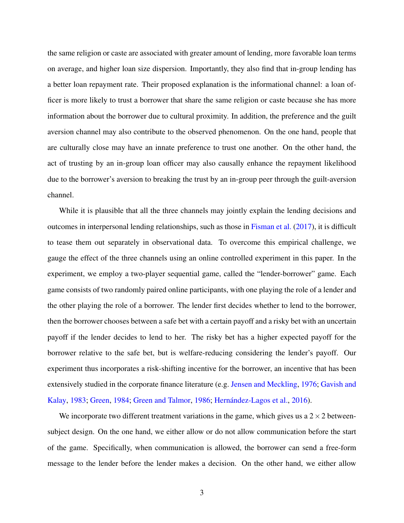the same religion or caste are associated with greater amount of lending, more favorable loan terms on average, and higher loan size dispersion. Importantly, they also find that in-group lending has a better loan repayment rate. Their proposed explanation is the informational channel: a loan officer is more likely to trust a borrower that share the same religion or caste because she has more information about the borrower due to cultural proximity. In addition, the preference and the guilt aversion channel may also contribute to the observed phenomenon. On the one hand, people that are culturally close may have an innate preference to trust one another. On the other hand, the act of trusting by an in-group loan officer may also causally enhance the repayment likelihood due to the borrower's aversion to breaking the trust by an in-group peer through the guilt-aversion channel.

While it is plausible that all the three channels may jointly explain the lending decisions and outcomes in interpersonal lending relationships, such as those in [Fisman et al.](#page-22-1) [\(2017\)](#page-22-1), it is difficult to tease them out separately in observational data. To overcome this empirical challenge, we gauge the effect of the three channels using an online controlled experiment in this paper. In the experiment, we employ a two-player sequential game, called the "lender-borrower" game. Each game consists of two randomly paired online participants, with one playing the role of a lender and the other playing the role of a borrower. The lender first decides whether to lend to the borrower, then the borrower chooses between a safe bet with a certain payoff and a risky bet with an uncertain payoff if the lender decides to lend to her. The risky bet has a higher expected payoff for the borrower relative to the safe bet, but is welfare-reducing considering the lender's payoff. Our experiment thus incorporates a risk-shifting incentive for the borrower, an incentive that has been extensively studied in the corporate finance literature (e.g. [Jensen and Meckling,](#page-25-0) [1976;](#page-25-0) [Gavish and](#page-23-1) [Kalay,](#page-23-1) [1983;](#page-23-1) [Green,](#page-23-2) [1984;](#page-23-2) [Green and Talmor,](#page-24-3) [1986;](#page-24-3) [Hernández-Lagos et al.,](#page-24-4) [2016\)](#page-24-4).

We incorporate two different treatment variations in the game, which gives us a  $2 \times 2$  betweensubject design. On the one hand, we either allow or do not allow communication before the start of the game. Specifically, when communication is allowed, the borrower can send a free-form message to the lender before the lender makes a decision. On the other hand, we either allow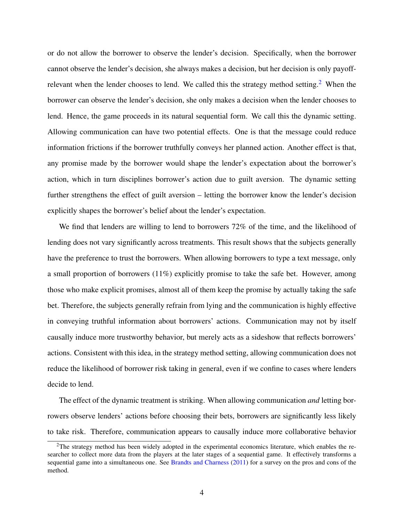or do not allow the borrower to observe the lender's decision. Specifically, when the borrower cannot observe the lender's decision, she always makes a decision, but her decision is only payoff-relevant when the lender chooses to lend. We called this the strategy method setting.<sup>[2](#page-3-0)</sup> When the borrower can observe the lender's decision, she only makes a decision when the lender chooses to lend. Hence, the game proceeds in its natural sequential form. We call this the dynamic setting. Allowing communication can have two potential effects. One is that the message could reduce information frictions if the borrower truthfully conveys her planned action. Another effect is that, any promise made by the borrower would shape the lender's expectation about the borrower's action, which in turn disciplines borrower's action due to guilt aversion. The dynamic setting further strengthens the effect of guilt aversion – letting the borrower know the lender's decision explicitly shapes the borrower's belief about the lender's expectation.

We find that lenders are willing to lend to borrowers 72% of the time, and the likelihood of lending does not vary significantly across treatments. This result shows that the subjects generally have the preference to trust the borrowers. When allowing borrowers to type a text message, only a small proportion of borrowers (11%) explicitly promise to take the safe bet. However, among those who make explicit promises, almost all of them keep the promise by actually taking the safe bet. Therefore, the subjects generally refrain from lying and the communication is highly effective in conveying truthful information about borrowers' actions. Communication may not by itself causally induce more trustworthy behavior, but merely acts as a sideshow that reflects borrowers' actions. Consistent with this idea, in the strategy method setting, allowing communication does not reduce the likelihood of borrower risk taking in general, even if we confine to cases where lenders decide to lend.

The effect of the dynamic treatment is striking. When allowing communication *and* letting borrowers observe lenders' actions before choosing their bets, borrowers are significantly less likely to take risk. Therefore, communication appears to causally induce more collaborative behavior

<span id="page-3-0"></span><sup>&</sup>lt;sup>2</sup>The strategy method has been widely adopted in the experimental economics literature, which enables the researcher to collect more data from the players at the later stages of a sequential game. It effectively transforms a sequential game into a simultaneous one. See [Brandts and Charness](#page-20-0) [\(2011\)](#page-20-0) for a survey on the pros and cons of the method.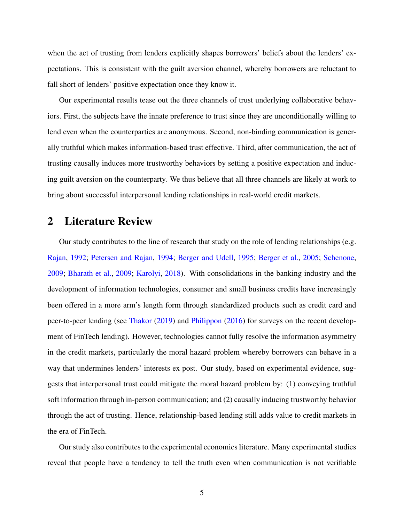when the act of trusting from lenders explicitly shapes borrowers' beliefs about the lenders' expectations. This is consistent with the guilt aversion channel, whereby borrowers are reluctant to fall short of lenders' positive expectation once they know it.

Our experimental results tease out the three channels of trust underlying collaborative behaviors. First, the subjects have the innate preference to trust since they are unconditionally willing to lend even when the counterparties are anonymous. Second, non-binding communication is generally truthful which makes information-based trust effective. Third, after communication, the act of trusting causally induces more trustworthy behaviors by setting a positive expectation and inducing guilt aversion on the counterparty. We thus believe that all three channels are likely at work to bring about successful interpersonal lending relationships in real-world credit markets.

### 2 Literature Review

Our study contributes to the line of research that study on the role of lending relationships (e.g. [Rajan,](#page-26-2) [1992;](#page-26-2) [Petersen and Rajan,](#page-26-3) [1994;](#page-26-3) [Berger and Udell,](#page-20-1) [1995;](#page-20-1) [Berger et al.,](#page-20-2) [2005;](#page-20-2) [Schenone,](#page-26-4) [2009;](#page-26-4) [Bharath et al.,](#page-20-3) [2009;](#page-20-3) [Karolyi,](#page-25-1) [2018\)](#page-25-1). With consolidations in the banking industry and the development of information technologies, consumer and small business credits have increasingly been offered in a more arm's length form through standardized products such as credit card and peer-to-peer lending (see [Thakor](#page-27-0) [\(2019\)](#page-27-0) and [Philippon](#page-26-5) [\(2016\)](#page-26-5) for surveys on the recent development of FinTech lending). However, technologies cannot fully resolve the information asymmetry in the credit markets, particularly the moral hazard problem whereby borrowers can behave in a way that undermines lenders' interests ex post. Our study, based on experimental evidence, suggests that interpersonal trust could mitigate the moral hazard problem by: (1) conveying truthful soft information through in-person communication; and (2) causally inducing trustworthy behavior through the act of trusting. Hence, relationship-based lending still adds value to credit markets in the era of FinTech.

Our study also contributes to the experimental economics literature. Many experimental studies reveal that people have a tendency to tell the truth even when communication is not verifiable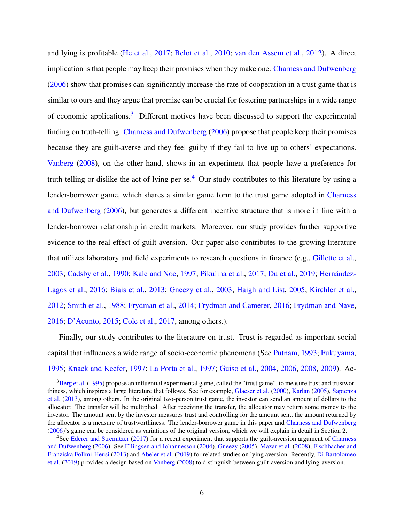and lying is profitable [\(He et al.,](#page-24-5) [2017;](#page-24-5) [Belot et al.,](#page-19-3) [2010;](#page-19-3) [van den Assem et al.,](#page-27-1) [2012\)](#page-27-1). A direct implication is that people may keep their promises when they make one. [Charness and Dufwenberg](#page-21-0) [\(2006\)](#page-21-0) show that promises can significantly increase the rate of cooperation in a trust game that is similar to ours and they argue that promise can be crucial for fostering partnerships in a wide range of economic applications.[3](#page-5-0) Different motives have been discussed to support the experimental finding on truth-telling. [Charness and Dufwenberg](#page-21-0) [\(2006\)](#page-21-0) propose that people keep their promises because they are guilt-averse and they feel guilty if they fail to live up to others' expectations. [Vanberg](#page-27-2) [\(2008\)](#page-27-2), on the other hand, shows in an experiment that people have a preference for truth-telling or dislike the act of lying per se.<sup>[4](#page-5-1)</sup> Our study contributes to this literature by using a lender-borrower game, which shares a similar game form to the trust game adopted in [Charness](#page-21-0) [and Dufwenberg](#page-21-0) [\(2006\)](#page-21-0), but generates a different incentive structure that is more in line with a lender-borrower relationship in credit markets. Moreover, our study provides further supportive evidence to the real effect of guilt aversion. Our paper also contributes to the growing literature that utilizes laboratory and field experiments to research questions in finance (e.g., [Gillette et al.,](#page-23-3) [2003;](#page-23-3) [Cadsby et al.,](#page-21-2) [1990;](#page-21-2) [Kale and Noe,](#page-25-2) [1997;](#page-25-2) [Pikulina et al.,](#page-26-6) [2017;](#page-26-6) [Du et al.,](#page-22-2) [2019;](#page-22-2) [Hernández-](#page-24-4)[Lagos et al.,](#page-24-4) [2016;](#page-24-4) [Biais et al.,](#page-20-4) [2013;](#page-20-4) [Gneezy et al.,](#page-23-4) [2003;](#page-23-4) [Haigh and List,](#page-24-6) [2005;](#page-24-6) [Kirchler et al.,](#page-25-3) [2012;](#page-25-3) [Smith et al.,](#page-26-7) [1988;](#page-26-7) [Frydman et al.,](#page-23-5) [2014;](#page-23-5) [Frydman and Camerer,](#page-23-6) [2016;](#page-23-6) [Frydman and Nave,](#page-23-7) [2016;](#page-23-7) [D'Acunto,](#page-21-3) [2015;](#page-21-3) [Cole et al.,](#page-21-4) [2017,](#page-21-4) among others.).

Finally, our study contributes to the literature on trust. Trust is regarded as important social capital that influences a wide range of socio-economic phenomena (See [Putnam,](#page-26-8) [1993;](#page-26-8) [Fukuyama,](#page-23-8) [1995;](#page-23-8) [Knack and Keefer,](#page-25-4) [1997;](#page-25-4) [La Porta et al.,](#page-25-5) [1997;](#page-25-5) [Guiso et al.,](#page-24-0) [2004,](#page-24-0) [2006,](#page-24-7) [2008,](#page-24-1) [2009\)](#page-24-8). Ac-

<span id="page-5-0"></span> $3$ [Berg et al.](#page-19-4) [\(1995\)](#page-19-4) propose an influential experimental game, called the "trust game", to measure trust and trustworthiness, which inspires a large literature that follows. See for example, [Glaeser et al.](#page-23-9) [\(2000\)](#page-23-9), [Karlan](#page-25-6) [\(2005\)](#page-25-6), [Sapienza](#page-26-1) [et al.](#page-26-1) [\(2013\)](#page-26-1), among others. In the original two-person trust game, the investor can send an amount of dollars to the allocator. The transfer will be multiplied. After receiving the transfer, the allocator may return some money to the investor. The amount sent by the investor measures trust and controlling for the amount sent, the amount returned by the allocator is a measure of trustworthiness. The lender-borrower game in this paper and [Charness and Dufwenberg](#page-21-0) [\(2006\)](#page-21-0)'s game can be considered as variations of the original version, which we will explain in detail in Section 2.

<span id="page-5-1"></span><sup>&</sup>lt;sup>4</sup>See [Ederer and Stremitzer](#page-22-3) [\(2017\)](#page-22-3) for a recent experiment that supports the guilt-aversion argument of [Charness](#page-21-0) [and Dufwenberg](#page-21-0) [\(2006\)](#page-21-0). See [Ellingsen and Johannesson](#page-22-4) [\(2004\)](#page-22-4), [Gneezy](#page-23-10) [\(2005\)](#page-23-10), [Mazar et al.](#page-25-7) [\(2008\)](#page-25-7), [Fischbacher and](#page-22-5) [Franziska Follmi-Heusi](#page-22-5) [\(2013\)](#page-22-5) and [Abeler et al.](#page-19-5) [\(2019\)](#page-19-5) for related studies on lying aversion. Recently, [Di Bartolomeo](#page-22-6) [et al.](#page-22-6) [\(2019\)](#page-22-6) provides a design based on [Vanberg](#page-27-2) [\(2008\)](#page-27-2) to distinguish between guilt-aversion and lying-aversion.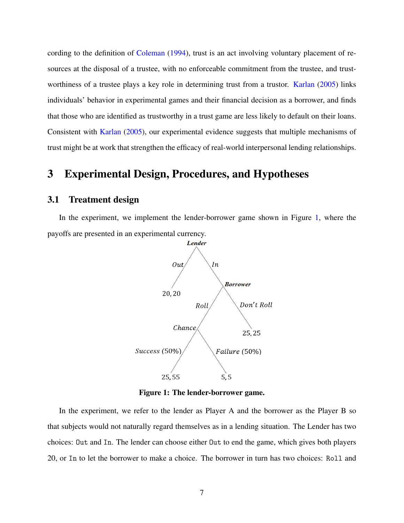cording to the definition of [Coleman](#page-21-5) [\(1994\)](#page-21-5), trust is an act involving voluntary placement of resources at the disposal of a trustee, with no enforceable commitment from the trustee, and trustworthiness of a trustee plays a key role in determining trust from a trustor. [Karlan](#page-25-6) [\(2005\)](#page-25-6) links individuals' behavior in experimental games and their financial decision as a borrower, and finds that those who are identified as trustworthy in a trust game are less likely to default on their loans. Consistent with [Karlan](#page-25-6) [\(2005\)](#page-25-6), our experimental evidence suggests that multiple mechanisms of trust might be at work that strengthen the efficacy of real-world interpersonal lending relationships.

### 3 Experimental Design, Procedures, and Hypotheses

### 3.1 Treatment design

<span id="page-6-0"></span>In the experiment, we implement the lender-borrower game shown in Figure [1,](#page-6-0) where the payoffs are presented in an experimental currency.



Figure 1: The lender-borrower game.

In the experiment, we refer to the lender as Player A and the borrower as the Player B so that subjects would not naturally regard themselves as in a lending situation. The Lender has two choices: Out and In. The lender can choose either Out to end the game, which gives both players 20, or In to let the borrower to make a choice. The borrower in turn has two choices: Roll and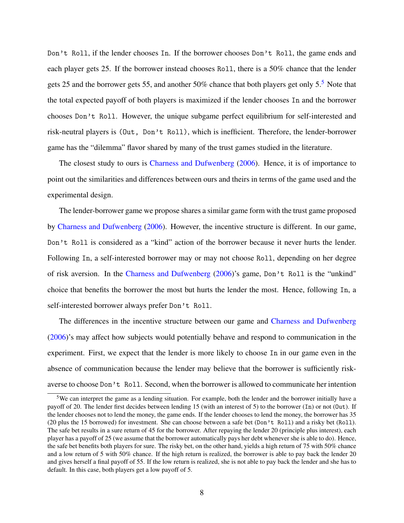Don't Roll, if the lender chooses In. If the borrower chooses Don't Roll, the game ends and each player gets 25. If the borrower instead chooses Roll, there is a 50% chance that the lender gets 25 and the borrower gets 55, and another 50% chance that both players get only 5.[5](#page-7-0) Note that the total expected payoff of both players is maximized if the lender chooses In and the borrower chooses Don't Roll. However, the unique subgame perfect equilibrium for self-interested and risk-neutral players is (Out, Don't Roll), which is inefficient. Therefore, the lender-borrower game has the "dilemma" flavor shared by many of the trust games studied in the literature.

The closest study to ours is [Charness and Dufwenberg](#page-21-0) [\(2006\)](#page-21-0). Hence, it is of importance to point out the similarities and differences between ours and theirs in terms of the game used and the experimental design.

The lender-borrower game we propose shares a similar game form with the trust game proposed by [Charness and Dufwenberg](#page-21-0) [\(2006\)](#page-21-0). However, the incentive structure is different. In our game, Don't Roll is considered as a "kind" action of the borrower because it never hurts the lender. Following In, a self-interested borrower may or may not choose Roll, depending on her degree of risk aversion. In the [Charness and Dufwenberg](#page-21-0) [\(2006\)](#page-21-0)'s game, Don't Roll is the "unkind" choice that benefits the borrower the most but hurts the lender the most. Hence, following In, a self-interested borrower always prefer Don't Roll.

The differences in the incentive structure between our game and [Charness and Dufwenberg](#page-21-0) [\(2006\)](#page-21-0)'s may affect how subjects would potentially behave and respond to communication in the experiment. First, we expect that the lender is more likely to choose In in our game even in the absence of communication because the lender may believe that the borrower is sufficiently riskaverse to choose Don't Roll. Second, when the borrower is allowed to communicate her intention

<span id="page-7-0"></span><sup>5</sup>We can interpret the game as a lending situation. For example, both the lender and the borrower initially have a payoff of 20. The lender first decides between lending 15 (with an interest of 5) to the borrower (In) or not (Out). If the lender chooses not to lend the money, the game ends. If the lender chooses to lend the money, the borrower has 35 (20 plus the 15 borrowed) for investment. She can choose between a safe bet (Don't Roll) and a risky bet (Roll). The safe bet results in a sure return of 45 for the borrower. After repaying the lender 20 (principle plus interest), each player has a payoff of 25 (we assume that the borrower automatically pays her debt whenever she is able to do). Hence, the safe bet benefits both players for sure. The risky bet, on the other hand, yields a high return of 75 with 50% chance and a low return of 5 with 50% chance. If the high return is realized, the borrower is able to pay back the lender 20 and gives herself a final payoff of 55. If the low return is realized, she is not able to pay back the lender and she has to default. In this case, both players get a low payoff of 5.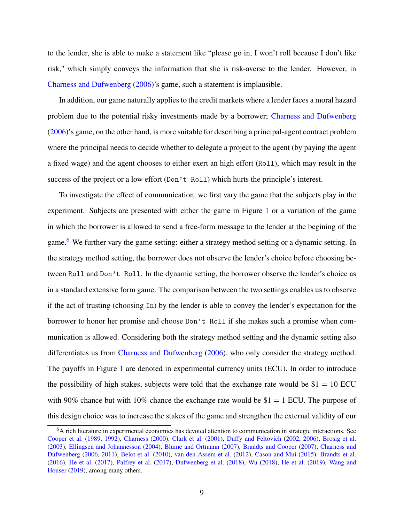to the lender, she is able to make a statement like "please go in, I won't roll because I don't like risk," which simply conveys the information that she is risk-averse to the lender. However, in [Charness and Dufwenberg](#page-21-0) [\(2006\)](#page-21-0)'s game, such a statement is implausible.

In addition, our game naturally applies to the credit markets where a lender faces a moral hazard problem due to the potential risky investments made by a borrower; [Charness and Dufwenberg](#page-21-0) [\(2006\)](#page-21-0)'s game, on the other hand, is more suitable for describing a principal-agent contract problem where the principal needs to decide whether to delegate a project to the agent (by paying the agent a fixed wage) and the agent chooses to either exert an high effort (Roll), which may result in the success of the project or a low effort (Don't Roll) which hurts the principle's interest.

To investigate the effect of communication, we first vary the game that the subjects play in the experiment. Subjects are presented with either the game in Figure [1](#page-6-0) or a variation of the game in which the borrower is allowed to send a free-form message to the lender at the begining of the game.<sup>[6](#page-8-0)</sup> We further vary the game setting: either a strategy method setting or a dynamic setting. In the strategy method setting, the borrower does not observe the lender's choice before choosing between Roll and Don't Roll. In the dynamic setting, the borrower observe the lender's choice as in a standard extensive form game. The comparison between the two settings enables us to observe if the act of trusting (choosing In) by the lender is able to convey the lender's expectation for the borrower to honor her promise and choose Don't Roll if she makes such a promise when communication is allowed. Considering both the strategy method setting and the dynamic setting also differentiates us from [Charness and Dufwenberg](#page-21-0) [\(2006\)](#page-21-0), who only consider the strategy method. The payoffs in Figure [1](#page-6-0) are denoted in experimental currency units (ECU). In order to introduce the possibility of high stakes, subjects were told that the exchange rate would be  $$1 = 10$  ECU with 90% chance but with 10% chance the exchange rate would be  $$1 = 1$  ECU. The purpose of this design choice was to increase the stakes of the game and strengthen the external validity of our

<span id="page-8-0"></span><sup>&</sup>lt;sup>6</sup>A rich literature in experimental economics has devoted attention to communication in strategic interactions. See [Cooper et al.](#page-21-6) [\(1989,](#page-21-6) [1992\)](#page-21-7), [Charness](#page-21-8) [\(2000\)](#page-21-8), [Clark et al.](#page-21-9) [\(2001\)](#page-21-9), [Duffy and Feltovich](#page-22-7) [\(2002,](#page-22-7) [2006\)](#page-22-8), [Brosig et al.](#page-20-5) [\(2003\)](#page-20-5), [Ellingsen and Johannesson](#page-22-4) [\(2004\)](#page-22-4), [Blume and Ortmann](#page-20-6) [\(2007\)](#page-20-6), [Brandts and Cooper](#page-20-7) [\(2007\)](#page-20-7), [Charness and](#page-21-0) [Dufwenberg](#page-21-0) [\(2006,](#page-21-0) [2011\)](#page-21-1), [Belot et al.](#page-19-3) [\(2010\)](#page-19-3), [van den Assem et al.](#page-27-1) [\(2012\)](#page-27-1), [Cason and Mui](#page-21-10) [\(2015\)](#page-21-10), [Brandts et al.](#page-20-8) [\(2016\)](#page-20-8), [He et al.](#page-24-5) [\(2017\)](#page-24-5), [Palfrey et al.](#page-25-8) [\(2017\)](#page-25-8), [Dufwenberg et al.](#page-22-9) [\(2018\)](#page-22-9), [Wu](#page-27-3) [\(2018\)](#page-27-3), [He et al.](#page-24-9) [\(2019\)](#page-24-9), [Wang and](#page-27-4) [Houser](#page-27-4) [\(2019\)](#page-27-4), among many others.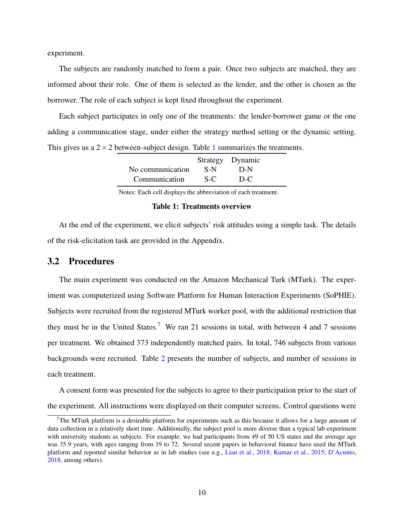experiment.

The subjects are randomly matched to form a pair. Once two subjects are matched, they are informed about their role. One of them is selected as the lender, and the other is chosen as the borrower. The role of each subject is kept fixed throughout the experiment.

<span id="page-9-0"></span>Each subject participates in only one of the treatments: the lender-borrower game or the one adding a communication stage, under either the strategy method setting or the dynamic setting. This gives us a  $2 \times 2$  between-subject design. Table [1](#page-9-0) summarizes the treatments.

|                  |       | Strategy Dynamic |
|------------------|-------|------------------|
| No communication | -S-N  | $D-N$            |
| Communication    | $S-C$ | $D-C$            |

Notes: Each cell displays the abbreviation of each treatment.

#### Table 1: Treatments overview

At the end of the experiment, we elicit subjects' risk attitudes using a simple task. The details of the risk-elicitation task are provided in the Appendix.

### 3.2 Procedures

The main experiment was conducted on the Amazon Mechanical Turk (MTurk). The experiment was computerized using Software Platform for Human Interaction Experiments (SoPHIE). Subjects were recruited from the registered MTurk worker pool, with the additional restriction that they must be in the United States.<sup>[7](#page-9-1)</sup> We ran 21 sessions in total, with between 4 and 7 sessions per treatment. We obtained 373 independently matched pairs. In total, 746 subjects from various backgrounds were recruited. Table [2](#page-10-0) presents the number of subjects, and number of sessions in each treatment.

A consent form was presented for the subjects to agree to their participation prior to the start of the experiment. All instructions were displayed on their computer screens. Control questions were

<span id="page-9-1"></span> $7$ The MTurk platform is a desirable platform for experiments such as this because it allows for a large amount of data collection in a relatively short time. Additionally, the subject pool is more diverse than a typical lab experiment with university students as subjects. For example, we had participants from 49 of 50 US states and the average age was 35.9 years, with ages ranging from 19 to 72. Several recent papers in behavioral finance have used the MTurk platform and reported similar behavior as in lab studies (see e.g., [Lian et al.,](#page-25-9) [2018;](#page-25-9) [Kumar et al.,](#page-25-10) [2015;](#page-25-10) [D'Acunto,](#page-22-10) [2018,](#page-22-10) among others).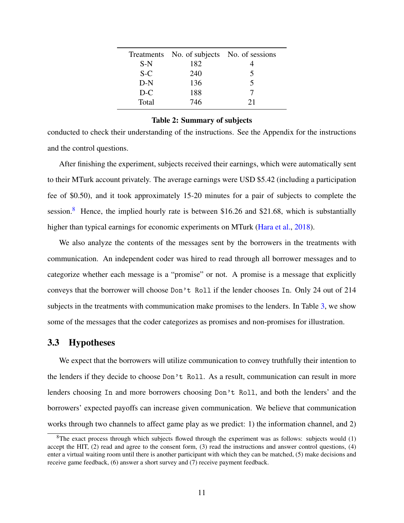<span id="page-10-0"></span>

|       | Treatments No. of subjects No. of sessions |    |
|-------|--------------------------------------------|----|
| $S-N$ | 182                                        |    |
| $S-C$ | 240                                        | 5  |
| $D-N$ | 136                                        | 5  |
| $D-C$ | 188                                        |    |
| Total | 746                                        | 21 |

#### Table 2: Summary of subjects

conducted to check their understanding of the instructions. See the Appendix for the instructions and the control questions.

After finishing the experiment, subjects received their earnings, which were automatically sent to their MTurk account privately. The average earnings were USD \$5.42 (including a participation fee of \$0.50), and it took approximately 15-20 minutes for a pair of subjects to complete the session.<sup>[8](#page-10-1)</sup> Hence, the implied hourly rate is between \$16.26 and \$21.68, which is substantially higher than typical earnings for economic experiments on MTurk [\(Hara et al.,](#page-24-10) [2018\)](#page-24-10).

We also analyze the contents of the messages sent by the borrowers in the treatments with communication. An independent coder was hired to read through all borrower messages and to categorize whether each message is a "promise" or not. A promise is a message that explicitly conveys that the borrower will choose Don't Roll if the lender chooses In. Only 24 out of 214 subjects in the treatments with communication make promises to the lenders. In Table [3,](#page-28-0) we show some of the messages that the coder categorizes as promises and non-promises for illustration.

### 3.3 Hypotheses

We expect that the borrowers will utilize communication to convey truthfully their intention to the lenders if they decide to choose Don't Roll. As a result, communication can result in more lenders choosing In and more borrowers choosing Don't Roll, and both the lenders' and the borrowers' expected payoffs can increase given communication. We believe that communication works through two channels to affect game play as we predict: 1) the information channel, and 2)

<span id="page-10-1"></span> ${}^8$ The exact process through which subjects flowed through the experiment was as follows: subjects would (1) accept the HIT, (2) read and agree to the consent form, (3) read the instructions and answer control questions, (4) enter a virtual waiting room until there is another participant with which they can be matched, (5) make decisions and receive game feedback, (6) answer a short survey and (7) receive payment feedback.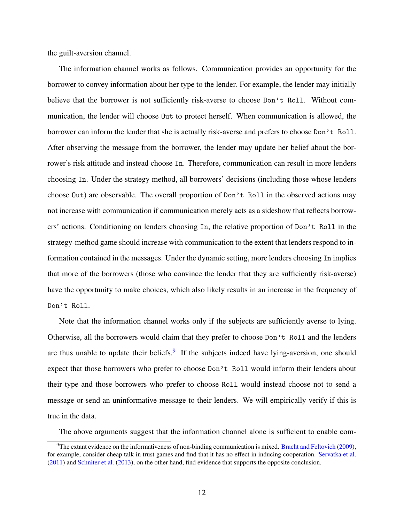the guilt-aversion channel.

The information channel works as follows. Communication provides an opportunity for the borrower to convey information about her type to the lender. For example, the lender may initially believe that the borrower is not sufficiently risk-averse to choose Don't Roll. Without communication, the lender will choose Out to protect herself. When communication is allowed, the borrower can inform the lender that she is actually risk-averse and prefers to choose Don't Roll. After observing the message from the borrower, the lender may update her belief about the borrower's risk attitude and instead choose In. Therefore, communication can result in more lenders choosing In. Under the strategy method, all borrowers' decisions (including those whose lenders choose Out) are observable. The overall proportion of Don't Roll in the observed actions may not increase with communication if communication merely acts as a sideshow that reflects borrowers' actions. Conditioning on lenders choosing In, the relative proportion of Don't Roll in the strategy-method game should increase with communication to the extent that lenders respond to information contained in the messages. Under the dynamic setting, more lenders choosing In implies that more of the borrowers (those who convince the lender that they are sufficiently risk-averse) have the opportunity to make choices, which also likely results in an increase in the frequency of Don't Roll.

Note that the information channel works only if the subjects are sufficiently averse to lying. Otherwise, all the borrowers would claim that they prefer to choose Don't Roll and the lenders are thus unable to update their beliefs.<sup>[9](#page-11-0)</sup> If the subjects indeed have lying-aversion, one should expect that those borrowers who prefer to choose Don't Roll would inform their lenders about their type and those borrowers who prefer to choose Roll would instead choose not to send a message or send an uninformative message to their lenders. We will empirically verify if this is true in the data.

The above arguments suggest that the information channel alone is sufficient to enable com-

<span id="page-11-0"></span> $9$ The extant evidence on the informativeness of non-binding communication is mixed. [Bracht and Feltovich](#page-20-9) [\(2009\)](#page-20-9), for example, consider cheap talk in trust games and find that it has no effect in inducing cooperation. [Servatka et al.](#page-26-9) [\(2011\)](#page-26-9) and [Schniter et al.](#page-26-10) [\(2013\)](#page-26-10), on the other hand, find evidence that supports the opposite conclusion.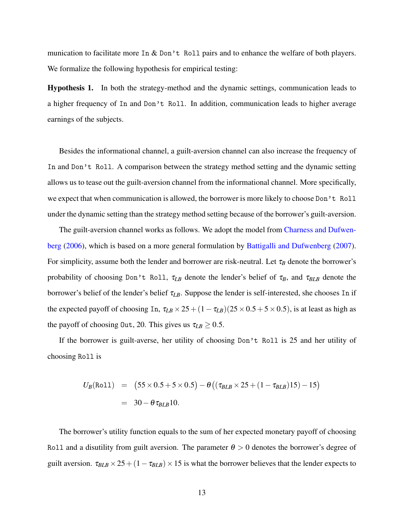munication to facilitate more In  $\&$  Don't Roll pairs and to enhance the welfare of both players. We formalize the following hypothesis for empirical testing:

Hypothesis 1. In both the strategy-method and the dynamic settings, communication leads to a higher frequency of In and Don't Roll. In addition, communication leads to higher average earnings of the subjects.

Besides the informational channel, a guilt-aversion channel can also increase the frequency of In and Don't Roll. A comparison between the strategy method setting and the dynamic setting allows us to tease out the guilt-aversion channel from the informational channel. More specifically, we expect that when communication is allowed, the borrower is more likely to choose Don't Roll under the dynamic setting than the strategy method setting because of the borrower's guilt-aversion.

The guilt-aversion channel works as follows. We adopt the model from [Charness and Dufwen](#page-21-0)[berg](#page-21-0) [\(2006\)](#page-21-0), which is based on a more general formulation by [Battigalli and Dufwenberg](#page-19-1) [\(2007\)](#page-19-1). For simplicity, assume both the lender and borrower are risk-neutral. Let  $\tau_B$  denote the borrower's probability of choosing Don't Roll,  $\tau_{LB}$  denote the lender's belief of  $\tau_B$ , and  $\tau_{BLB}$  denote the borrower's belief of the lender's belief τ*LB*. Suppose the lender is self-interested, she chooses In if the expected payoff of choosing In,  $\tau_{LB} \times 25 + (1 - \tau_{LB})(25 \times 0.5 + 5 \times 0.5)$ , is at least as high as the payoff of choosing 0ut, 20. This gives us  $\tau_{LB} \geq 0.5$ .

If the borrower is guilt-averse, her utility of choosing Don't Roll is 25 and her utility of choosing Roll is

$$
U_B(\text{Roll}) = (55 \times 0.5 + 5 \times 0.5) - \theta ((\tau_{BLB} \times 25 + (1 - \tau_{BLB})15) - 15)
$$
  
= 30 - \theta \tau\_{BLB}10.

The borrower's utility function equals to the sum of her expected monetary payoff of choosing Roll and a disutility from guilt aversion. The parameter  $\theta > 0$  denotes the borrower's degree of guilt aversion.  $\tau_{BLB} \times 25 + (1 - \tau_{BLB}) \times 15$  is what the borrower believes that the lender expects to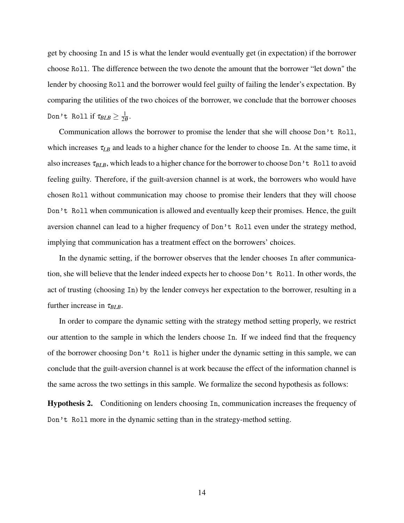get by choosing In and 15 is what the lender would eventually get (in expectation) if the borrower choose Roll. The difference between the two denote the amount that the borrower "let down" the lender by choosing Roll and the borrower would feel guilty of failing the lender's expectation. By comparing the utilities of the two choices of the borrower, we conclude that the borrower chooses Don't Rollif  $\tau_{BLB}\geq \frac{1}{26}$  $rac{1}{2\theta}$ .

Communication allows the borrower to promise the lender that she will choose Don't Roll, which increases  $\tau_{LB}$  and leads to a higher chance for the lender to choose In. At the same time, it also increases τ*BLB*, which leads to a higher chance for the borrower to choose Don't Roll to avoid feeling guilty. Therefore, if the guilt-aversion channel is at work, the borrowers who would have chosen Roll without communication may choose to promise their lenders that they will choose Don't Roll when communication is allowed and eventually keep their promises. Hence, the guilt aversion channel can lead to a higher frequency of Don't Roll even under the strategy method, implying that communication has a treatment effect on the borrowers' choices.

In the dynamic setting, if the borrower observes that the lender chooses In after communication, she will believe that the lender indeed expects her to choose Don't Roll. In other words, the act of trusting (choosing In) by the lender conveys her expectation to the borrower, resulting in a further increase in  $\tau_{BLB}$ .

In order to compare the dynamic setting with the strategy method setting properly, we restrict our attention to the sample in which the lenders choose In. If we indeed find that the frequency of the borrower choosing Don't Roll is higher under the dynamic setting in this sample, we can conclude that the guilt-aversion channel is at work because the effect of the information channel is the same across the two settings in this sample. We formalize the second hypothesis as follows:

Hypothesis 2. Conditioning on lenders choosing In, communication increases the frequency of Don't Roll more in the dynamic setting than in the strategy-method setting.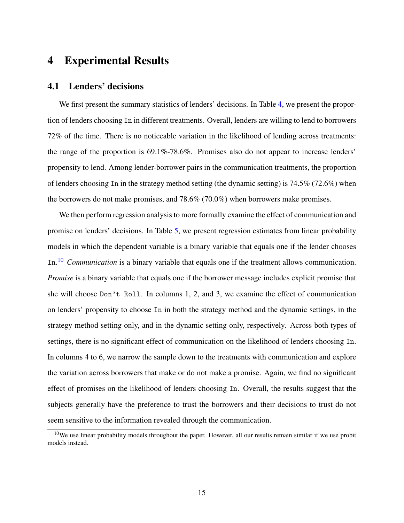### 4 Experimental Results

### 4.1 Lenders' decisions

We first present the summary statistics of lenders' decisions. In Table [4,](#page-29-0) we present the proportion of lenders choosing In in different treatments. Overall, lenders are willing to lend to borrowers 72% of the time. There is no noticeable variation in the likelihood of lending across treatments: the range of the proportion is 69.1%-78.6%. Promises also do not appear to increase lenders' propensity to lend. Among lender-borrower pairs in the communication treatments, the proportion of lenders choosing In in the strategy method setting (the dynamic setting) is 74.5% (72.6%) when the borrowers do not make promises, and 78.6% (70.0%) when borrowers make promises.

We then perform regression analysis to more formally examine the effect of communication and promise on lenders' decisions. In Table [5,](#page-30-0) we present regression estimates from linear probability models in which the dependent variable is a binary variable that equals one if the lender chooses In. [10](#page-14-0) *Communication* is a binary variable that equals one if the treatment allows communication. *Promise* is a binary variable that equals one if the borrower message includes explicit promise that she will choose Don't Roll. In columns 1, 2, and 3, we examine the effect of communication on lenders' propensity to choose In in both the strategy method and the dynamic settings, in the strategy method setting only, and in the dynamic setting only, respectively. Across both types of settings, there is no significant effect of communication on the likelihood of lenders choosing In. In columns 4 to 6, we narrow the sample down to the treatments with communication and explore the variation across borrowers that make or do not make a promise. Again, we find no significant effect of promises on the likelihood of lenders choosing In. Overall, the results suggest that the subjects generally have the preference to trust the borrowers and their decisions to trust do not seem sensitive to the information revealed through the communication.

<span id="page-14-0"></span> $10$ We use linear probability models throughout the paper. However, all our results remain similar if we use probit models instead.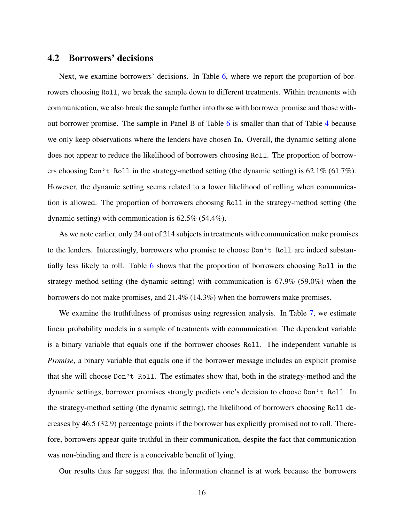### 4.2 Borrowers' decisions

Next, we examine borrowers' decisions. In Table [6,](#page-31-0) where we report the proportion of borrowers choosing Roll, we break the sample down to different treatments. Within treatments with communication, we also break the sample further into those with borrower promise and those without borrower promise. The sample in Panel B of Table [6](#page-31-0) is smaller than that of Table [4](#page-29-0) because we only keep observations where the lenders have chosen In. Overall, the dynamic setting alone does not appear to reduce the likelihood of borrowers choosing Roll. The proportion of borrowers choosing Don't Roll in the strategy-method setting (the dynamic setting) is 62.1% (61.7%). However, the dynamic setting seems related to a lower likelihood of rolling when communication is allowed. The proportion of borrowers choosing Roll in the strategy-method setting (the dynamic setting) with communication is 62.5% (54.4%).

As we note earlier, only 24 out of 214 subjects in treatments with communication make promises to the lenders. Interestingly, borrowers who promise to choose Don't Roll are indeed substantially less likely to roll. Table [6](#page-31-0) shows that the proportion of borrowers choosing Roll in the strategy method setting (the dynamic setting) with communication is 67.9% (59.0%) when the borrowers do not make promises, and 21.4% (14.3%) when the borrowers make promises.

We examine the truthfulness of promises using regression analysis. In Table [7,](#page-32-0) we estimate linear probability models in a sample of treatments with communication. The dependent variable is a binary variable that equals one if the borrower chooses Roll. The independent variable is *Promise*, a binary variable that equals one if the borrower message includes an explicit promise that she will choose Don't Roll. The estimates show that, both in the strategy-method and the dynamic settings, borrower promises strongly predicts one's decision to choose Don't Roll. In the strategy-method setting (the dynamic setting), the likelihood of borrowers choosing Roll decreases by 46.5 (32.9) percentage points if the borrower has explicitly promised not to roll. Therefore, borrowers appear quite truthful in their communication, despite the fact that communication was non-binding and there is a conceivable benefit of lying.

Our results thus far suggest that the information channel is at work because the borrowers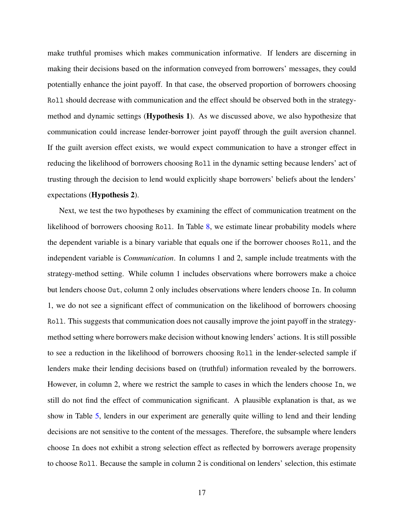make truthful promises which makes communication informative. If lenders are discerning in making their decisions based on the information conveyed from borrowers' messages, they could potentially enhance the joint payoff. In that case, the observed proportion of borrowers choosing Roll should decrease with communication and the effect should be observed both in the strategymethod and dynamic settings (Hypothesis 1). As we discussed above, we also hypothesize that communication could increase lender-borrower joint payoff through the guilt aversion channel. If the guilt aversion effect exists, we would expect communication to have a stronger effect in reducing the likelihood of borrowers choosing Roll in the dynamic setting because lenders' act of trusting through the decision to lend would explicitly shape borrowers' beliefs about the lenders' expectations (Hypothesis 2).

Next, we test the two hypotheses by examining the effect of communication treatment on the likelihood of borrowers choosing Roll. In Table [8,](#page-33-0) we estimate linear probability models where the dependent variable is a binary variable that equals one if the borrower chooses Roll, and the independent variable is *Communication*. In columns 1 and 2, sample include treatments with the strategy-method setting. While column 1 includes observations where borrowers make a choice but lenders choose Out, column 2 only includes observations where lenders choose In. In column 1, we do not see a significant effect of communication on the likelihood of borrowers choosing Roll. This suggests that communication does not causally improve the joint payoff in the strategymethod setting where borrowers make decision without knowing lenders' actions. It is still possible to see a reduction in the likelihood of borrowers choosing Roll in the lender-selected sample if lenders make their lending decisions based on (truthful) information revealed by the borrowers. However, in column 2, where we restrict the sample to cases in which the lenders choose In, we still do not find the effect of communication significant. A plausible explanation is that, as we show in Table [5,](#page-30-0) lenders in our experiment are generally quite willing to lend and their lending decisions are not sensitive to the content of the messages. Therefore, the subsample where lenders choose In does not exhibit a strong selection effect as reflected by borrowers average propensity to choose Roll. Because the sample in column 2 is conditional on lenders' selection, this estimate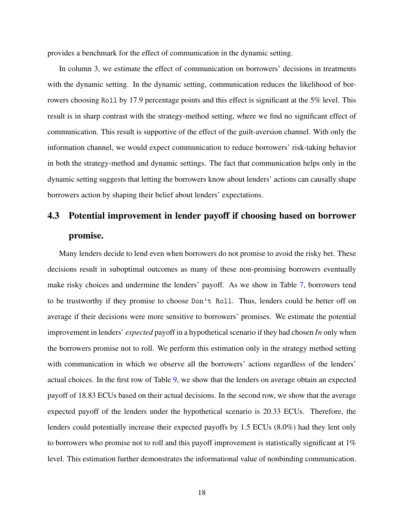provides a benchmark for the effect of communication in the dynamic setting.

In column 3, we estimate the effect of communication on borrowers' decisions in treatments with the dynamic setting. In the dynamic setting, communication reduces the likelihood of borrowers choosing Roll by 17.9 percentage points and this effect is significant at the 5% level. This result is in sharp contrast with the strategy-method setting, where we find no significant effect of communication. This result is supportive of the effect of the guilt-aversion channel. With only the information channel, we would expect communication to reduce borrowers' risk-taking behavior in both the strategy-method and dynamic settings. The fact that communication helps only in the dynamic setting suggests that letting the borrowers know about lenders' actions can causally shape borrowers action by shaping their belief about lenders' expectations.

# 4.3 Potential improvement in lender payoff if choosing based on borrower promise.

Many lenders decide to lend even when borrowers do not promise to avoid the risky bet. These decisions result in suboptimal outcomes as many of these non-promising borrowers eventually make risky choices and undermine the lenders' payoff. As we show in Table [7,](#page-32-0) borrowers tend to be trustworthy if they promise to choose Don't Roll. Thus, lenders could be better off on average if their decisions were more sensitive to borrowers' promises. We estimate the potential improvement in lenders' *expected* payoff in a hypothetical scenario if they had chosen *In* only when the borrowers promise not to roll. We perform this estimation only in the strategy method setting with communication in which we observe all the borrowers' actions regardless of the lenders' actual choices. In the first row of Table [9,](#page-34-0) we show that the lenders on average obtain an expected payoff of 18.83 ECUs based on their actual decisions. In the second row, we show that the average expected payoff of the lenders under the hypothetical scenario is 20.33 ECUs. Therefore, the lenders could potentially increase their expected payoffs by 1.5 ECUs (8.0%) had they lent only to borrowers who promise not to roll and this payoff improvement is statistically significant at 1% level. This estimation further demonstrates the informational value of nonbinding communication.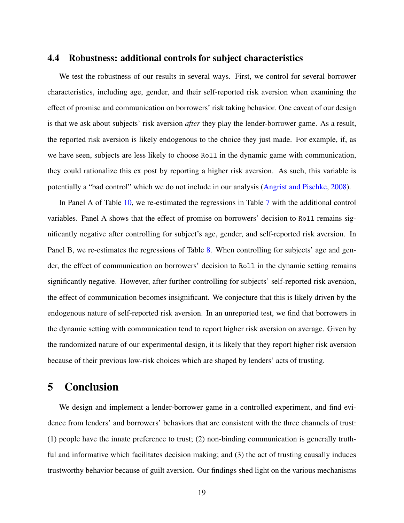### 4.4 Robustness: additional controls for subject characteristics

We test the robustness of our results in several ways. First, we control for several borrower characteristics, including age, gender, and their self-reported risk aversion when examining the effect of promise and communication on borrowers' risk taking behavior. One caveat of our design is that we ask about subjects' risk aversion *after* they play the lender-borrower game. As a result, the reported risk aversion is likely endogenous to the choice they just made. For example, if, as we have seen, subjects are less likely to choose Roll in the dynamic game with communication, they could rationalize this ex post by reporting a higher risk aversion. As such, this variable is potentially a "bad control" which we do not include in our analysis [\(Angrist and Pischke,](#page-19-6) [2008\)](#page-19-6).

In Panel A of Table [10,](#page-35-0) we re-estimated the regressions in Table [7](#page-32-0) with the additional control variables. Panel A shows that the effect of promise on borrowers' decision to Roll remains significantly negative after controlling for subject's age, gender, and self-reported risk aversion. In Panel B, we re-estimates the regressions of Table [8.](#page-33-0) When controlling for subjects' age and gender, the effect of communication on borrowers' decision to Roll in the dynamic setting remains significantly negative. However, after further controlling for subjects' self-reported risk aversion, the effect of communication becomes insignificant. We conjecture that this is likely driven by the endogenous nature of self-reported risk aversion. In an unreported test, we find that borrowers in the dynamic setting with communication tend to report higher risk aversion on average. Given by the randomized nature of our experimental design, it is likely that they report higher risk aversion because of their previous low-risk choices which are shaped by lenders' acts of trusting.

### 5 Conclusion

We design and implement a lender-borrower game in a controlled experiment, and find evidence from lenders' and borrowers' behaviors that are consistent with the three channels of trust: (1) people have the innate preference to trust; (2) non-binding communication is generally truthful and informative which facilitates decision making; and (3) the act of trusting causally induces trustworthy behavior because of guilt aversion. Our findings shed light on the various mechanisms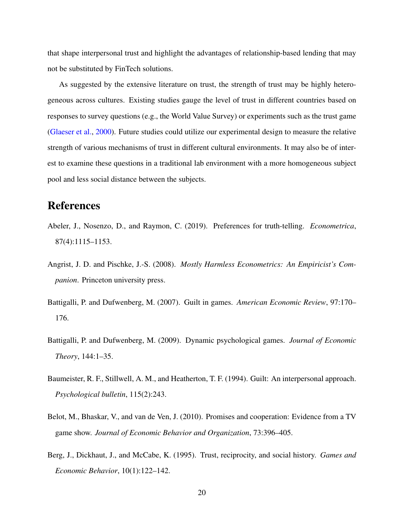that shape interpersonal trust and highlight the advantages of relationship-based lending that may not be substituted by FinTech solutions.

As suggested by the extensive literature on trust, the strength of trust may be highly heterogeneous across cultures. Existing studies gauge the level of trust in different countries based on responses to survey questions (e.g., the World Value Survey) or experiments such as the trust game [\(Glaeser et al.,](#page-23-9) [2000\)](#page-23-9). Future studies could utilize our experimental design to measure the relative strength of various mechanisms of trust in different cultural environments. It may also be of interest to examine these questions in a traditional lab environment with a more homogeneous subject pool and less social distance between the subjects.

# References

- <span id="page-19-5"></span>Abeler, J., Nosenzo, D., and Raymon, C. (2019). Preferences for truth-telling. *Econometrica*, 87(4):1115–1153.
- <span id="page-19-6"></span>Angrist, J. D. and Pischke, J.-S. (2008). *Mostly Harmless Econometrics: An Empiricist's Companion*. Princeton university press.
- <span id="page-19-1"></span>Battigalli, P. and Dufwenberg, M. (2007). Guilt in games. *American Economic Review*, 97:170– 176.
- <span id="page-19-2"></span>Battigalli, P. and Dufwenberg, M. (2009). Dynamic psychological games. *Journal of Economic Theory*, 144:1–35.
- <span id="page-19-0"></span>Baumeister, R. F., Stillwell, A. M., and Heatherton, T. F. (1994). Guilt: An interpersonal approach. *Psychological bulletin*, 115(2):243.
- <span id="page-19-3"></span>Belot, M., Bhaskar, V., and van de Ven, J. (2010). Promises and cooperation: Evidence from a TV game show. *Journal of Economic Behavior and Organization*, 73:396–405.
- <span id="page-19-4"></span>Berg, J., Dickhaut, J., and McCabe, K. (1995). Trust, reciprocity, and social history. *Games and Economic Behavior*, 10(1):122–142.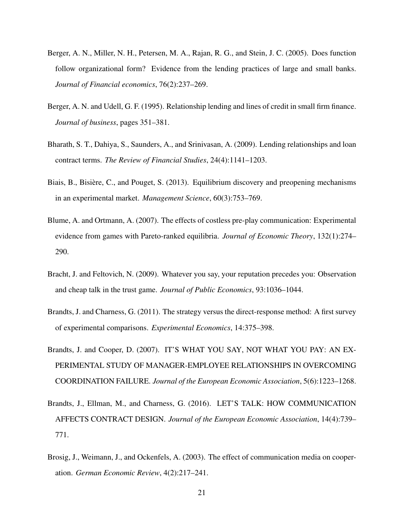- <span id="page-20-2"></span>Berger, A. N., Miller, N. H., Petersen, M. A., Rajan, R. G., and Stein, J. C. (2005). Does function follow organizational form? Evidence from the lending practices of large and small banks. *Journal of Financial economics*, 76(2):237–269.
- <span id="page-20-1"></span>Berger, A. N. and Udell, G. F. (1995). Relationship lending and lines of credit in small firm finance. *Journal of business*, pages 351–381.
- <span id="page-20-3"></span>Bharath, S. T., Dahiya, S., Saunders, A., and Srinivasan, A. (2009). Lending relationships and loan contract terms. *The Review of Financial Studies*, 24(4):1141–1203.
- <span id="page-20-4"></span>Biais, B., Bisière, C., and Pouget, S. (2013). Equilibrium discovery and preopening mechanisms in an experimental market. *Management Science*, 60(3):753–769.
- <span id="page-20-6"></span>Blume, A. and Ortmann, A. (2007). The effects of costless pre-play communication: Experimental evidence from games with Pareto-ranked equilibria. *Journal of Economic Theory*, 132(1):274– 290.
- <span id="page-20-9"></span>Bracht, J. and Feltovich, N. (2009). Whatever you say, your reputation precedes you: Observation and cheap talk in the trust game. *Journal of Public Economics*, 93:1036–1044.
- <span id="page-20-0"></span>Brandts, J. and Charness, G. (2011). The strategy versus the direct-response method: A first survey of experimental comparisons. *Experimental Economics*, 14:375–398.
- <span id="page-20-7"></span>Brandts, J. and Cooper, D. (2007). IT'S WHAT YOU SAY, NOT WHAT YOU PAY: AN EX-PERIMENTAL STUDY OF MANAGER-EMPLOYEE RELATIONSHIPS IN OVERCOMING COORDINATION FAILURE. *Journal of the European Economic Association*, 5(6):1223–1268.
- <span id="page-20-8"></span>Brandts, J., Ellman, M., and Charness, G. (2016). LET'S TALK: HOW COMMUNICATION AFFECTS CONTRACT DESIGN. *Journal of the European Economic Association*, 14(4):739– 771.
- <span id="page-20-5"></span>Brosig, J., Weimann, J., and Ockenfels, A. (2003). The effect of communication media on cooperation. *German Economic Review*, 4(2):217–241.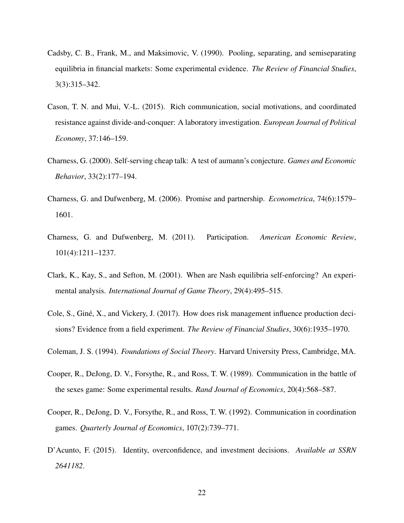- <span id="page-21-2"></span>Cadsby, C. B., Frank, M., and Maksimovic, V. (1990). Pooling, separating, and semiseparating equilibria in financial markets: Some experimental evidence. *The Review of Financial Studies*, 3(3):315–342.
- <span id="page-21-10"></span>Cason, T. N. and Mui, V.-L. (2015). Rich communication, social motivations, and coordinated resistance against divide-and-conquer: A laboratory investigation. *European Journal of Political Economy*, 37:146–159.
- <span id="page-21-8"></span>Charness, G. (2000). Self-serving cheap talk: A test of aumann's conjecture. *Games and Economic Behavior*, 33(2):177–194.
- <span id="page-21-0"></span>Charness, G. and Dufwenberg, M. (2006). Promise and partnership. *Econometrica*, 74(6):1579– 1601.
- <span id="page-21-1"></span>Charness, G. and Dufwenberg, M. (2011). Participation. *American Economic Review*, 101(4):1211–1237.
- <span id="page-21-9"></span>Clark, K., Kay, S., and Sefton, M. (2001). When are Nash equilibria self-enforcing? An experimental analysis. *International Journal of Game Theory*, 29(4):495–515.
- <span id="page-21-4"></span>Cole, S., Giné, X., and Vickery, J. (2017). How does risk management influence production decisions? Evidence from a field experiment. *The Review of Financial Studies*, 30(6):1935–1970.
- <span id="page-21-5"></span>Coleman, J. S. (1994). *Foundations of Social Theory*. Harvard University Press, Cambridge, MA.
- <span id="page-21-6"></span>Cooper, R., DeJong, D. V., Forsythe, R., and Ross, T. W. (1989). Communication in the battle of the sexes game: Some experimental results. *Rand Journal of Economics*, 20(4):568–587.
- <span id="page-21-7"></span>Cooper, R., DeJong, D. V., Forsythe, R., and Ross, T. W. (1992). Communication in coordination games. *Quarterly Journal of Economics*, 107(2):739–771.
- <span id="page-21-3"></span>D'Acunto, F. (2015). Identity, overconfidence, and investment decisions. *Available at SSRN 2641182*.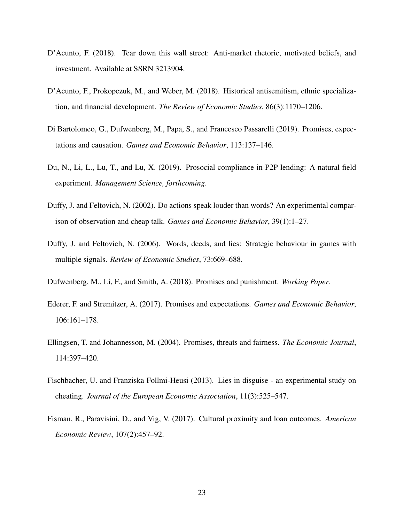- <span id="page-22-10"></span>D'Acunto, F. (2018). Tear down this wall street: Anti-market rhetoric, motivated beliefs, and investment. Available at SSRN 3213904.
- <span id="page-22-0"></span>D'Acunto, F., Prokopczuk, M., and Weber, M. (2018). Historical antisemitism, ethnic specialization, and financial development. *The Review of Economic Studies*, 86(3):1170–1206.
- <span id="page-22-6"></span>Di Bartolomeo, G., Dufwenberg, M., Papa, S., and Francesco Passarelli (2019). Promises, expectations and causation. *Games and Economic Behavior*, 113:137–146.
- <span id="page-22-2"></span>Du, N., Li, L., Lu, T., and Lu, X. (2019). Prosocial compliance in P2P lending: A natural field experiment. *Management Science, forthcoming*.
- <span id="page-22-7"></span>Duffy, J. and Feltovich, N. (2002). Do actions speak louder than words? An experimental comparison of observation and cheap talk. *Games and Economic Behavior*, 39(1):1–27.
- <span id="page-22-8"></span>Duffy, J. and Feltovich, N. (2006). Words, deeds, and lies: Strategic behaviour in games with multiple signals. *Review of Economic Studies*, 73:669–688.
- <span id="page-22-9"></span>Dufwenberg, M., Li, F., and Smith, A. (2018). Promises and punishment. *Working Paper*.
- <span id="page-22-3"></span>Ederer, F. and Stremitzer, A. (2017). Promises and expectations. *Games and Economic Behavior*, 106:161–178.
- <span id="page-22-4"></span>Ellingsen, T. and Johannesson, M. (2004). Promises, threats and fairness. *The Economic Journal*, 114:397–420.
- <span id="page-22-5"></span>Fischbacher, U. and Franziska Follmi-Heusi (2013). Lies in disguise - an experimental study on cheating. *Journal of the European Economic Association*, 11(3):525–547.
- <span id="page-22-1"></span>Fisman, R., Paravisini, D., and Vig, V. (2017). Cultural proximity and loan outcomes. *American Economic Review*, 107(2):457–92.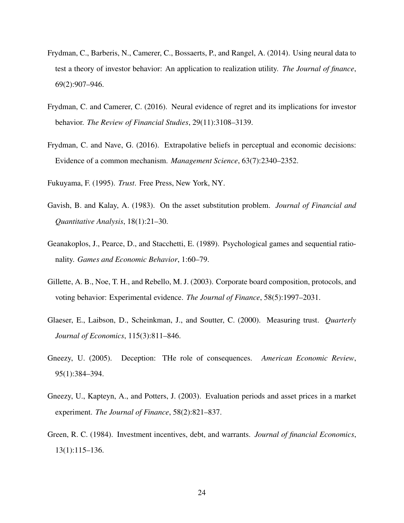- <span id="page-23-5"></span>Frydman, C., Barberis, N., Camerer, C., Bossaerts, P., and Rangel, A. (2014). Using neural data to test a theory of investor behavior: An application to realization utility. *The Journal of finance*, 69(2):907–946.
- <span id="page-23-6"></span>Frydman, C. and Camerer, C. (2016). Neural evidence of regret and its implications for investor behavior. *The Review of Financial Studies*, 29(11):3108–3139.
- <span id="page-23-7"></span>Frydman, C. and Nave, G. (2016). Extrapolative beliefs in perceptual and economic decisions: Evidence of a common mechanism. *Management Science*, 63(7):2340–2352.
- <span id="page-23-8"></span>Fukuyama, F. (1995). *Trust*. Free Press, New York, NY.
- <span id="page-23-1"></span>Gavish, B. and Kalay, A. (1983). On the asset substitution problem. *Journal of Financial and Quantitative Analysis*, 18(1):21–30.
- <span id="page-23-0"></span>Geanakoplos, J., Pearce, D., and Stacchetti, E. (1989). Psychological games and sequential rationality. *Games and Economic Behavior*, 1:60–79.
- <span id="page-23-3"></span>Gillette, A. B., Noe, T. H., and Rebello, M. J. (2003). Corporate board composition, protocols, and voting behavior: Experimental evidence. *The Journal of Finance*, 58(5):1997–2031.
- <span id="page-23-9"></span>Glaeser, E., Laibson, D., Scheinkman, J., and Soutter, C. (2000). Measuring trust. *Quarterly Journal of Economics*, 115(3):811–846.
- <span id="page-23-10"></span>Gneezy, U. (2005). Deception: THe role of consequences. *American Economic Review*, 95(1):384–394.
- <span id="page-23-4"></span>Gneezy, U., Kapteyn, A., and Potters, J. (2003). Evaluation periods and asset prices in a market experiment. *The Journal of Finance*, 58(2):821–837.
- <span id="page-23-2"></span>Green, R. C. (1984). Investment incentives, debt, and warrants. *Journal of financial Economics*, 13(1):115–136.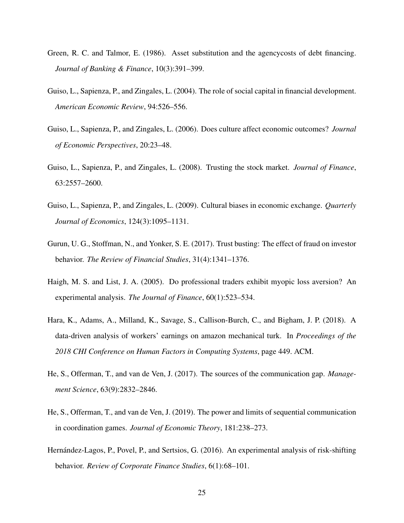- <span id="page-24-3"></span>Green, R. C. and Talmor, E. (1986). Asset substitution and the agencycosts of debt financing. *Journal of Banking & Finance*, 10(3):391–399.
- <span id="page-24-0"></span>Guiso, L., Sapienza, P., and Zingales, L. (2004). The role of social capital in financial development. *American Economic Review*, 94:526–556.
- <span id="page-24-7"></span>Guiso, L., Sapienza, P., and Zingales, L. (2006). Does culture affect economic outcomes? *Journal of Economic Perspectives*, 20:23–48.
- <span id="page-24-1"></span>Guiso, L., Sapienza, P., and Zingales, L. (2008). Trusting the stock market. *Journal of Finance*, 63:2557–2600.
- <span id="page-24-8"></span>Guiso, L., Sapienza, P., and Zingales, L. (2009). Cultural biases in economic exchange. *Quarterly Journal of Economics*, 124(3):1095–1131.
- <span id="page-24-2"></span>Gurun, U. G., Stoffman, N., and Yonker, S. E. (2017). Trust busting: The effect of fraud on investor behavior. *The Review of Financial Studies*, 31(4):1341–1376.
- <span id="page-24-6"></span>Haigh, M. S. and List, J. A. (2005). Do professional traders exhibit myopic loss aversion? An experimental analysis. *The Journal of Finance*, 60(1):523–534.
- <span id="page-24-10"></span>Hara, K., Adams, A., Milland, K., Savage, S., Callison-Burch, C., and Bigham, J. P. (2018). A data-driven analysis of workers' earnings on amazon mechanical turk. In *Proceedings of the 2018 CHI Conference on Human Factors in Computing Systems*, page 449. ACM.
- <span id="page-24-5"></span>He, S., Offerman, T., and van de Ven, J. (2017). The sources of the communication gap. *Management Science*, 63(9):2832–2846.
- <span id="page-24-9"></span>He, S., Offerman, T., and van de Ven, J. (2019). The power and limits of sequential communication in coordination games. *Journal of Economic Theory*, 181:238–273.
- <span id="page-24-4"></span>Hernández-Lagos, P., Povel, P., and Sertsios, G. (2016). An experimental analysis of risk-shifting behavior. *Review of Corporate Finance Studies*, 6(1):68–101.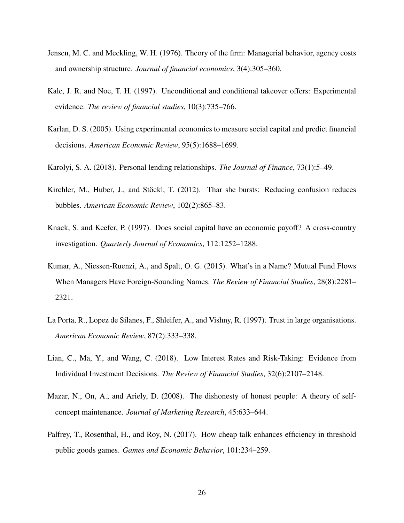- <span id="page-25-0"></span>Jensen, M. C. and Meckling, W. H. (1976). Theory of the firm: Managerial behavior, agency costs and ownership structure. *Journal of financial economics*, 3(4):305–360.
- <span id="page-25-2"></span>Kale, J. R. and Noe, T. H. (1997). Unconditional and conditional takeover offers: Experimental evidence. *The review of financial studies*, 10(3):735–766.
- <span id="page-25-6"></span>Karlan, D. S. (2005). Using experimental economics to measure social capital and predict financial decisions. *American Economic Review*, 95(5):1688–1699.
- <span id="page-25-1"></span>Karolyi, S. A. (2018). Personal lending relationships. *The Journal of Finance*, 73(1):5–49.
- <span id="page-25-3"></span>Kirchler, M., Huber, J., and Stöckl, T. (2012). Thar she bursts: Reducing confusion reduces bubbles. *American Economic Review*, 102(2):865–83.
- <span id="page-25-4"></span>Knack, S. and Keefer, P. (1997). Does social capital have an economic payoff? A cross-country investigation. *Quarterly Journal of Economics*, 112:1252–1288.
- <span id="page-25-10"></span>Kumar, A., Niessen-Ruenzi, A., and Spalt, O. G. (2015). What's in a Name? Mutual Fund Flows When Managers Have Foreign-Sounding Names. *The Review of Financial Studies*, 28(8):2281– 2321.
- <span id="page-25-5"></span>La Porta, R., Lopez de Silanes, F., Shleifer, A., and Vishny, R. (1997). Trust in large organisations. *American Economic Review*, 87(2):333–338.
- <span id="page-25-9"></span>Lian, C., Ma, Y., and Wang, C. (2018). Low Interest Rates and Risk-Taking: Evidence from Individual Investment Decisions. *The Review of Financial Studies*, 32(6):2107–2148.
- <span id="page-25-7"></span>Mazar, N., On, A., and Ariely, D. (2008). The dishonesty of honest people: A theory of selfconcept maintenance. *Journal of Marketing Research*, 45:633–644.
- <span id="page-25-8"></span>Palfrey, T., Rosenthal, H., and Roy, N. (2017). How cheap talk enhances efficiency in threshold public goods games. *Games and Economic Behavior*, 101:234–259.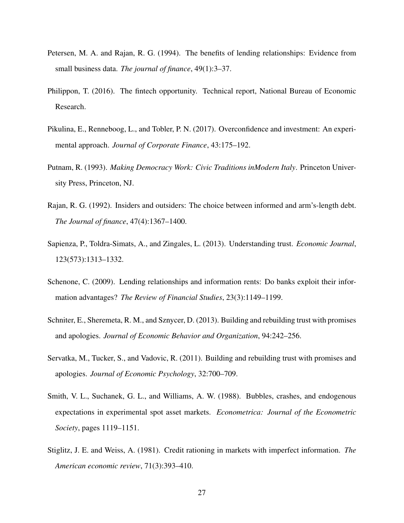- <span id="page-26-3"></span>Petersen, M. A. and Rajan, R. G. (1994). The benefits of lending relationships: Evidence from small business data. *The journal of finance*, 49(1):3–37.
- <span id="page-26-5"></span>Philippon, T. (2016). The fintech opportunity. Technical report, National Bureau of Economic Research.
- <span id="page-26-6"></span>Pikulina, E., Renneboog, L., and Tobler, P. N. (2017). Overconfidence and investment: An experimental approach. *Journal of Corporate Finance*, 43:175–192.
- <span id="page-26-8"></span>Putnam, R. (1993). *Making Democracy Work: Civic Traditions inModern Italy*. Princeton University Press, Princeton, NJ.
- <span id="page-26-2"></span>Rajan, R. G. (1992). Insiders and outsiders: The choice between informed and arm's-length debt. *The Journal of finance*, 47(4):1367–1400.
- <span id="page-26-1"></span>Sapienza, P., Toldra-Simats, A., and Zingales, L. (2013). Understanding trust. *Economic Journal*, 123(573):1313–1332.
- <span id="page-26-4"></span>Schenone, C. (2009). Lending relationships and information rents: Do banks exploit their information advantages? *The Review of Financial Studies*, 23(3):1149–1199.
- <span id="page-26-10"></span>Schniter, E., Sheremeta, R. M., and Sznycer, D. (2013). Building and rebuilding trust with promises and apologies. *Journal of Economic Behavior and Organization*, 94:242–256.
- <span id="page-26-9"></span>Servatka, M., Tucker, S., and Vadovic, R. (2011). Building and rebuilding trust with promises and apologies. *Journal of Economic Psychology*, 32:700–709.
- <span id="page-26-7"></span>Smith, V. L., Suchanek, G. L., and Williams, A. W. (1988). Bubbles, crashes, and endogenous expectations in experimental spot asset markets. *Econometrica: Journal of the Econometric Society*, pages 1119–1151.
- <span id="page-26-0"></span>Stiglitz, J. E. and Weiss, A. (1981). Credit rationing in markets with imperfect information. *The American economic review*, 71(3):393–410.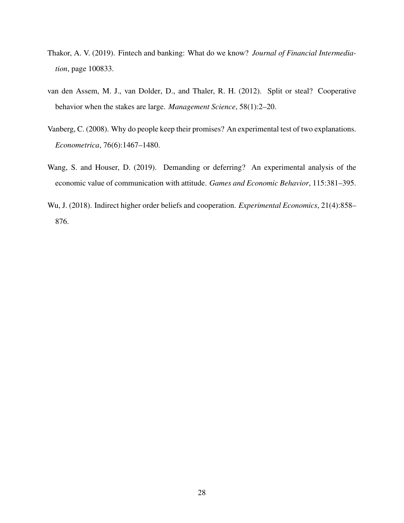- <span id="page-27-0"></span>Thakor, A. V. (2019). Fintech and banking: What do we know? *Journal of Financial Intermediation*, page 100833.
- <span id="page-27-1"></span>van den Assem, M. J., van Dolder, D., and Thaler, R. H. (2012). Split or steal? Cooperative behavior when the stakes are large. *Management Science*, 58(1):2–20.
- <span id="page-27-2"></span>Vanberg, C. (2008). Why do people keep their promises? An experimental test of two explanations. *Econometrica*, 76(6):1467–1480.
- <span id="page-27-4"></span>Wang, S. and Houser, D. (2019). Demanding or deferring? An experimental analysis of the economic value of communication with attitude. *Games and Economic Behavior*, 115:381–395.
- <span id="page-27-3"></span>Wu, J. (2018). Indirect higher order beliefs and cooperation. *Experimental Economics*, 21(4):858– 876.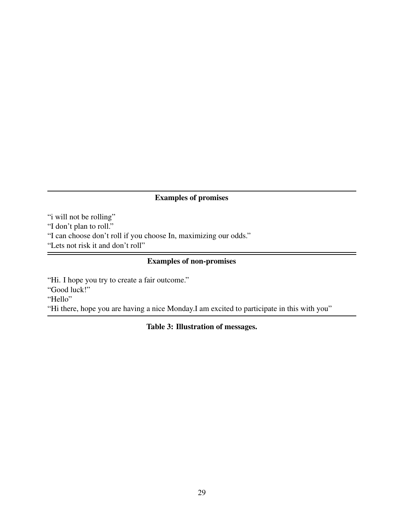### Examples of promises

<span id="page-28-0"></span>"i will not be rolling"

"I don't plan to roll."

"I can choose don't roll if you choose In, maximizing our odds."

"Lets not risk it and don't roll" 

### Examples of non-promises

"Hi. I hope you try to create a fair outcome." "Good luck!" "Hello" "Hi there, hope you are having a nice Monday.I am excited to participate in this with you"

### Table 3: Illustration of messages.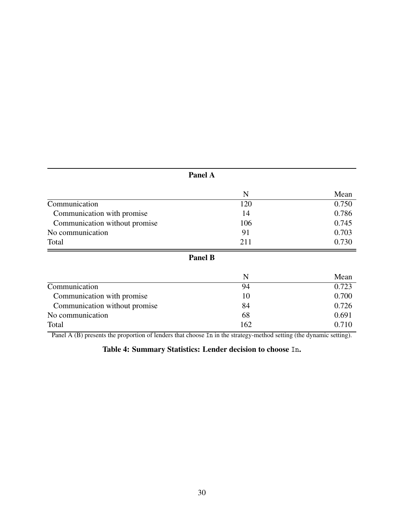<span id="page-29-0"></span>

|                               | Panel A        |       |
|-------------------------------|----------------|-------|
|                               | N              | Mean  |
| Communication                 | 120            | 0.750 |
| Communication with promise    | 14             | 0.786 |
| Communication without promise | 106            | 0.745 |
| No communication              | 91             | 0.703 |
| Total                         | 211            | 0.730 |
|                               | <b>Panel B</b> |       |
|                               | N              | Mean  |
| Communication                 | 94             | 0.723 |
| Communication with promise    | 10             | 0.700 |
| Communication without promise | 84             | 0.726 |

Total 0.710 Panel A (B) presents the proportion of lenders that choose In in the strategy-method setting (the dynamic setting).

No communication 68 0.691<br>Total 162 0.710

Table 4: Summary Statistics: Lender decision to choose In.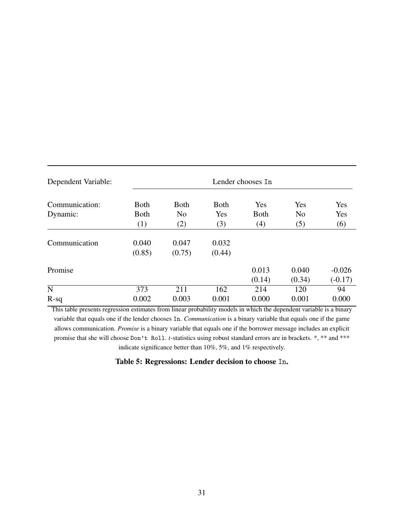<span id="page-30-0"></span>

| Dependent Variable: | Lender chooses In |                                |                            |             |                       |            |
|---------------------|-------------------|--------------------------------|----------------------------|-------------|-----------------------|------------|
| Communication:      | <b>Both</b>       | <b>B</b> oth<br>N <sub>0</sub> | <b>B</b> oth<br><b>Yes</b> | Yes         | Yes<br>N <sub>o</sub> | Yes<br>Yes |
| Dynamic:            | <b>Both</b>       |                                |                            | <b>Both</b> |                       |            |
|                     | (1)               | (2)                            | (3)                        | (4)         | (5)                   | (6)        |
| Communication       | 0.040             | 0.047                          | 0.032                      |             |                       |            |
|                     | (0.85)            | (0.75)                         | (0.44)                     |             |                       |            |
| Promise             |                   |                                |                            | 0.013       | 0.040                 | $-0.026$   |
|                     |                   |                                |                            | (0.14)      | (0.34)                | $(-0.17)$  |
| $\mathbf N$         | 373               | 211                            | 162                        | 214         | 120                   | 94         |
| $R-sq$              | 0.002             | 0.003                          | 0.001                      | 0.000       | 0.001                 | 0.000      |

This table presents regression estimates from linear probability models in which the dependent variable is a binary variable that equals one if the lender chooses In. *Communication* is a binary variable that equals one if the game allows communication. *Promise* is a binary variable that equals one if the borrower message includes an explicit promise that she will choose Don't Roll. *t*-statistics using robust standard errors are in brackets. \*, \*\* and \*\*\* indicate significance better than 10%, 5%, and 1% respectively.

### Table 5: Regressions: Lender decision to choose In.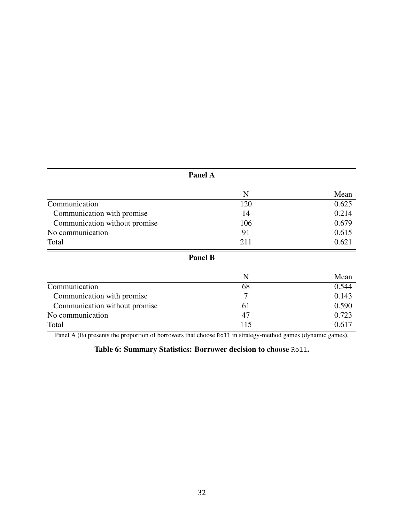<span id="page-31-0"></span>

|                               | Panel A        |       |
|-------------------------------|----------------|-------|
|                               | N              | Mean  |
| Communication                 | 120            | 0.625 |
| Communication with promise    | 14             | 0.214 |
| Communication without promise | 106            | 0.679 |
| No communication              | 91             | 0.615 |
| Total                         | 211            | 0.621 |
|                               | <b>Panel B</b> |       |
|                               | N              | Mean  |
| Communication                 | 68             | 0.544 |
| Communication with promise    | 7              | 0.143 |
| Communication without promise | 61             | 0.590 |
| No communication              | 47             | 0.723 |
| Total                         | 115            | 0.617 |

Total  $115$  0.617 Panel A (B) presents the proportion of borrowers that choose Ro11 in strategy-method games (dynamic games).

Table 6: Summary Statistics: Borrower decision to choose Roll.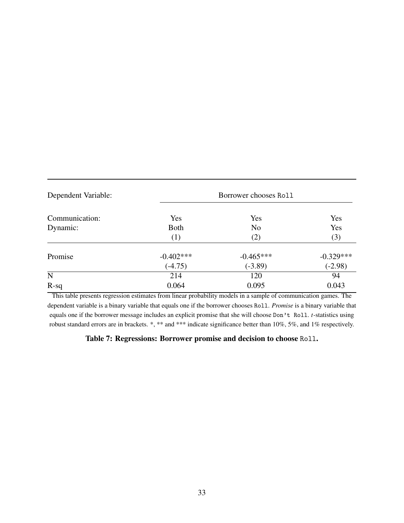<span id="page-32-0"></span>

| Dependent Variable: |             |                |             |
|---------------------|-------------|----------------|-------------|
| Communication:      | Yes         | Yes            | Yes         |
| Dynamic:            | <b>Both</b> | N <sub>o</sub> | Yes         |
|                     | (1)         | (2)            | (3)         |
| Promise             | $-0.402***$ | $-0.465***$    | $-0.329***$ |
|                     | $(-4.75)$   | $(-3.89)$      | $(-2.98)$   |
| ${\bf N}$           | 214         | 120            | 94          |
| $R-sq$              | 0.064       | 0.095          | 0.043       |

This table presents regression estimates from linear probability models in a sample of communication games. The dependent variable is a binary variable that equals one if the borrower chooses Roll. *Promise* is a binary variable that equals one if the borrower message includes an explicit promise that she will choose Don't Roll. *t*-statistics using robust standard errors are in brackets. \*, \*\* and \*\*\* indicate significance better than 10%, 5%, and 1% respectively.

### Table 7: Regressions: Borrower promise and decision to choose Roll.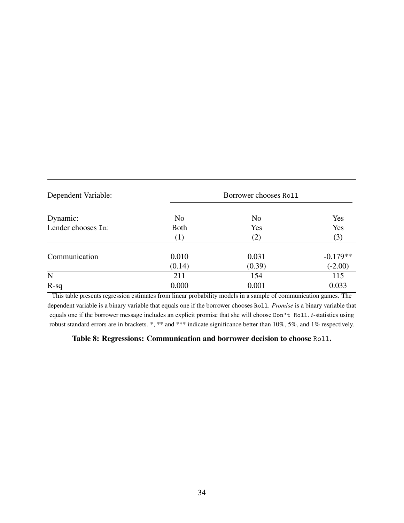<span id="page-33-0"></span>

| Dependent Variable: |                | Borrower chooses Roll |            |
|---------------------|----------------|-----------------------|------------|
| Dynamic:            | N <sub>0</sub> | N <sub>0</sub>        | Yes        |
| Lender chooses In:  | <b>Both</b>    | Yes                   | Yes        |
|                     | (1)            | (2)                   | (3)        |
| Communication       | 0.010          | 0.031                 | $-0.179**$ |
|                     | (0.14)         | (0.39)                | $(-2.00)$  |
| ${\bf N}$           | 211            | 154                   | 115        |
| $R-sq$              | 0.000          | 0.001                 | 0.033      |

This table presents regression estimates from linear probability models in a sample of communication games. The dependent variable is a binary variable that equals one if the borrower chooses Roll. *Promise* is a binary variable that equals one if the borrower message includes an explicit promise that she will choose Don't Roll. *t*-statistics using robust standard errors are in brackets. \*, \*\* and \*\*\* indicate significance better than 10%, 5%, and 1% respectively.

Table 8: Regressions: Communication and borrower decision to choose Roll.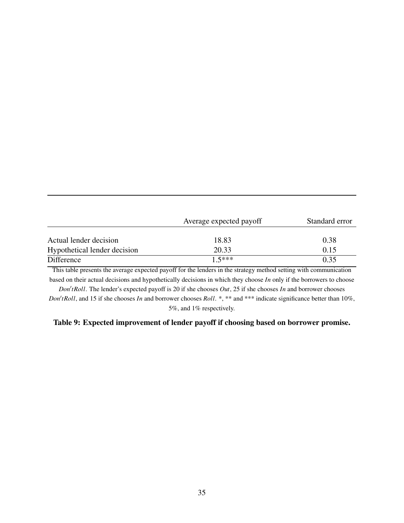<span id="page-34-0"></span>

|                              | Average expected payoff | Standard error |  |
|------------------------------|-------------------------|----------------|--|
| Actual lender decision       | 18.83                   | 0.38           |  |
| Hypothetical lender decision | 20.33                   | 0.15           |  |
| Difference                   | $15***$                 | 0.35           |  |

This table presents the average expected payoff for the lenders in the strategy method setting with communication based on their actual decisions and hypothetically decisions in which they choose *In* only if the borrowers to choose

 $Don't Roll$ . The lender's expected payoff is 20 if she chooses  $Out$ , 25 if she chooses *In* and borrower chooses *Don'tRoll*, and 15 if she chooses *In* and borrower chooses *Roll*. \*, \*\* and \*\*\* indicate significance better than 10%, 5%, and 1% respectively.

### Table 9: Expected improvement of lender payoff if choosing based on borrower promise.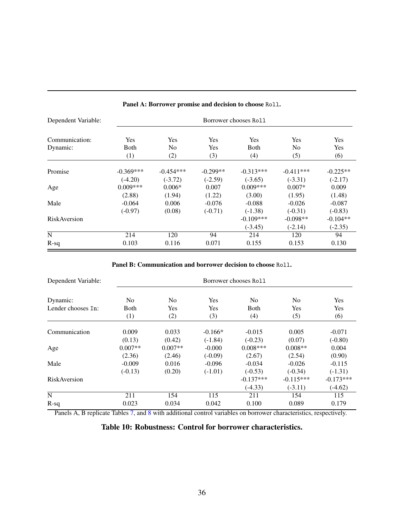<span id="page-35-0"></span>

| Dependent Variable: | Borrower chooses Roll |                |            |             |             |            |
|---------------------|-----------------------|----------------|------------|-------------|-------------|------------|
| Communication:      | Yes                   | <b>Yes</b>     | Yes        | <b>Yes</b>  | Yes         | <b>Yes</b> |
| Dynamic:            | Both                  | N <sub>0</sub> | Yes        | <b>Both</b> | No          | <b>Yes</b> |
|                     | (1)                   | (2)            | (3)        | (4)         | (5)         | (6)        |
| Promise             | $-0.369***$           | $-0.454***$    | $-0.299**$ | $-0.313***$ | $-0.411***$ | $-0.225**$ |
|                     | $(-4.20)$             | $(-3.72)$      | $(-2.59)$  | $(-3.65)$   | $(-3.31)$   | $(-2.17)$  |
| Age                 | $0.009***$            | $0.006*$       | 0.007      | $0.009***$  | $0.007*$    | 0.009      |
|                     | (2.88)                | (1.94)         | (1.22)     | (3.00)      | (1.95)      | (1.48)     |
| Male                | $-0.064$              | 0.006          | $-0.076$   | $-0.088$    | $-0.026$    | $-0.087$   |
|                     | $(-0.97)$             | (0.08)         | $(-0.71)$  | $(-1.38)$   | $(-0.31)$   | $(-0.83)$  |
| <b>RiskAversion</b> |                       |                |            | $-0.109***$ | $-0.098**$  | $-0.104**$ |
|                     |                       |                |            | $(-3.45)$   | $(-2.14)$   | $(-2.35)$  |
| N                   | 214                   | 120            | 94         | 214         | 120         | 94         |
| $R-sq$              | 0.103                 | 0.116          | 0.071      | 0.155       | 0.153       | 0.130      |

### Panel A: Borrower promise and decision to choose Roll.

#### Panel B: Communication and borrower decision to choose Roll.

| Dependent Variable: | Borrower chooses Roll |                |           |                |                |             |
|---------------------|-----------------------|----------------|-----------|----------------|----------------|-------------|
| Dynamic:            | N <sub>0</sub>        | N <sub>0</sub> | Yes       | N <sub>0</sub> | N <sub>0</sub> | Yes         |
| Lender chooses In:  | Both                  | <b>Yes</b>     | Yes       | Both           | Yes            | Yes         |
|                     | (1)                   | (2)            | (3)       | (4)            | (5)            | (6)         |
| Communication       | 0.009                 | 0.033          | $-0.166*$ | $-0.015$       | 0.005          | $-0.071$    |
|                     | (0.13)                | (0.42)         | $(-1.84)$ | $(-0.23)$      | (0.07)         | $(-0.80)$   |
| Age                 | $0.007**$             | $0.007**$      | $-0.000$  | $0.008***$     | $0.008**$      | 0.004       |
|                     | (2.36)                | (2.46)         | $(-0.09)$ | (2.67)         | (2.54)         | (0.90)      |
| Male                | $-0.009$              | 0.016          | $-0.096$  | $-0.034$       | $-0.026$       | $-0.115$    |
|                     | $(-0.13)$             | (0.20)         | $(-1.01)$ | $(-0.53)$      | $(-0.34)$      | $(-1.31)$   |
| <b>RiskAversion</b> |                       |                |           | $-0.137***$    | $-0.115***$    | $-0.173***$ |
|                     |                       |                |           | $(-4.33)$      | $(-3.11)$      | $(-4.62)$   |
| $\mathbf N$         | 211                   | 154            | 115       | 211            | 154            | 115         |
| $R-sq$              | 0.023                 | 0.034          | 0.042     | 0.100          | 0.089          | 0.179       |

Panels A, B replicate Tables [7,](#page-32-0) and [8](#page-33-0) with additional control variables on borrower characteristics, respectively.

Table 10: Robustness: Control for borrower characteristics.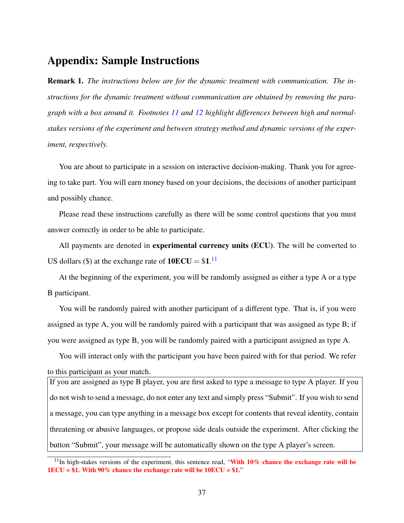# Appendix: Sample Instructions

Remark 1. *The instructions below are for the dynamic treatment with communication. The instructions for the dynamic treatment without communication are obtained by removing the paragraph with a box around it. Footnotes [11](#page-36-0) and [12](#page-37-0) highlight differences between high and normalstakes versions of the experiment and between strategy method and dynamic versions of the experiment, respectively.*

You are about to participate in a session on interactive decision-making. Thank you for agreeing to take part. You will earn money based on your decisions, the decisions of another participant and possibly chance.

Please read these instructions carefully as there will be some control questions that you must answer correctly in order to be able to participate.

All payments are denoted in **experimental currency units (ECU)**. The will be converted to US dollars (\$) at the exchange rate of  $10ECU = $1$ .<sup>[11](#page-36-0)</sup>

At the beginning of the experiment, you will be randomly assigned as either a type A or a type B participant.

You will be randomly paired with another participant of a different type. That is, if you were assigned as type A, you will be randomly paired with a participant that was assigned as type B; if you were assigned as type B, you will be randomly paired with a participant assigned as type A.

You will interact only with the participant you have been paired with for that period. We refer to this participant as your match.

If you are assigned as type B player, you are first asked to type a message to type A player. If you do not wish to send a message, do not enter any text and simply press "Submit". If you wish to send a message, you can type anything in a message box except for contents that reveal identity, contain threatening or abusive languages, or propose side deals outside the experiment. After clicking the button "Submit", your message will be automatically shown on the type A player's screen.

<span id="page-36-0"></span> $11$ In high-stakes versions of the experiment, this sentence read, "With 10% chance the exchange rate will be  $1ECU = $1$ . With 90% chance the exchange rate will be  $10ECU = $1$ ."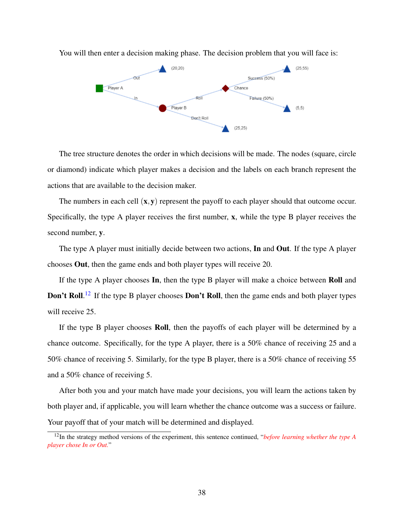

You will then enter a decision making phase. The decision problem that you will face is:

The tree structure denotes the order in which decisions will be made. The nodes (square, circle or diamond) indicate which player makes a decision and the labels on each branch represent the actions that are available to the decision maker.

The numbers in each cell  $(x, y)$  represent the payoff to each player should that outcome occur. Specifically, the type A player receives the first number, x, while the type B player receives the second number, y.

The type A player must initially decide between two actions,  $\text{In}$  and Out. If the type A player chooses Out, then the game ends and both player types will receive 20.

If the type A player chooses In, then the type B player will make a choice between Roll and Don't Roll.<sup>[12](#page-37-0)</sup> If the type B player chooses Don't Roll, then the game ends and both player types will receive 25.

If the type B player chooses Roll, then the payoffs of each player will be determined by a chance outcome. Specifically, for the type A player, there is a 50% chance of receiving 25 and a 50% chance of receiving 5. Similarly, for the type B player, there is a 50% chance of receiving 55 and a 50% chance of receiving 5.

After both you and your match have made your decisions, you will learn the actions taken by both player and, if applicable, you will learn whether the chance outcome was a success or failure. Your payoff that of your match will be determined and displayed.

<span id="page-37-0"></span><sup>12</sup>In the strategy method versions of the experiment, this sentence continued, "*before learning whether the type A player chose In or Out.*"